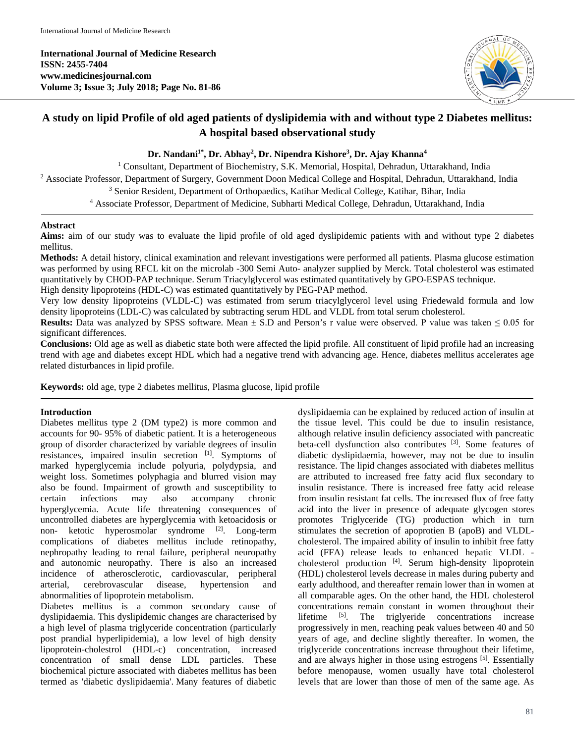**International Journal of Medicine Research ISSN: 2455-7404 www.medicinesjournal.com Volume 3; Issue 3; July 2018; Page No. 81-86**



# **A study on lipid Profile of old aged patients of dyslipidemia with and without type 2 Diabetes mellitus: A hospital based observational study**

**Dr. Nandani1\* , Dr. Abhay2 , Dr. Nipendra Kishore3 , Dr. Ajay Khanna4**

<sup>1</sup> Consultant, Department of Biochemistry, S.K. Memorial, Hospital, Dehradun, Uttarakhand, India <sup>2</sup> Associate Professor, Department of Surgery, Government Doon Medical College and Hospital, Dehradun, Uttarakhand, India <sup>3</sup> Senior Resident, Department of Orthopaedics, Katihar Medical College, Katihar, Bihar, India <sup>4</sup> Associate Professor, Department of Medicine, Subharti Medical College, Dehradun, Uttarakhand, India

# **Abstract**

**Aims:** aim of our study was to evaluate the lipid profile of old aged dyslipidemic patients with and without type 2 diabetes mellitus.

**Methods:** A detail history, clinical examination and relevant investigations were performed all patients. Plasma glucose estimation was performed by using RFCL kit on the microlab -300 Semi Auto- analyzer supplied by Merck. Total cholesterol was estimated quantitatively by CHOD-PAP technique. Serum Triacylglycerol was estimated quantitatively by GPO-ESPAS technique. High density lipoproteins (HDL-C) was estimated quantitatively by PEG-PAP method.

Very low density lipoproteins (VLDL-C) was estimated from serum triacylglycerol level using Friedewald formula and low density lipoproteins (LDL-C) was calculated by subtracting serum HDL and VLDL from total serum cholesterol.

**Results:** Data was analyzed by SPSS software. Mean  $\pm$  S.D and Person's r value were observed. P value was taken  $\leq 0.05$  for significant differences.

**Conclusions:** Old age as well as diabetic state both were affected the lipid profile. All constituent of lipid profile had an increasing trend with age and diabetes except HDL which had a negative trend with advancing age. Hence, diabetes mellitus accelerates age related disturbances in lipid profile.

**Keywords:** old age, type 2 diabetes mellitus, Plasma glucose, lipid profile

# **Introduction**

Diabetes mellitus type 2 (DM type2) is more common and accounts for 90- 95% of diabetic patient. It is a heterogeneous group of disorder characterized by variable degrees of insulin resistances, impaired insulin secretion [1]. Symptoms of marked hyperglycemia include polyuria, polydypsia, and weight loss. Sometimes polyphagia and blurred vision may also be found. Impairment of growth and susceptibility to certain infections may also accompany chronic hyperglycemia. Acute life threatening consequences of uncontrolled diabetes are hyperglycemia with ketoacidosis or non- ketotic hyperosmolar syndrome [2]. Long-term complications of diabetes mellitus include retinopathy, nephropathy leading to renal failure, peripheral neuropathy and autonomic neuropathy. There is also an increased incidence of atherosclerotic, cardiovascular, peripheral arterial, cerebrovascular disease, hypertension and abnormalities of lipoprotein metabolism.

Diabetes mellitus is a common secondary cause of dyslipidaemia. This dyslipidemic changes are characterised by a high level of plasma triglyceride concentration (particularly post prandial hyperlipidemia), a low level of high density lipoprotein-cholestrol (HDL-c) concentration, increased concentration of small dense LDL particles. These biochemical picture associated with diabetes mellitus has been termed as 'diabetic dyslipidaemia'. Many features of diabetic dyslipidaemia can be explained by reduced action of insulin at the tissue level. This could be due to insulin resistance, although relative insulin deficiency associated with pancreatic beta-cell dysfunction also contributes [3]. Some features of diabetic dyslipidaemia, however, may not be due to insulin resistance. The lipid changes associated with diabetes mellitus are attributed to increased free fatty acid flux secondary to insulin resistance. There is increased free fatty acid release from insulin resistant fat cells. The increased flux of free fatty acid into the liver in presence of adequate glycogen stores promotes Triglyceride (TG) production which in turn stimulates the secretion of apoprotien B (apoB) and VLDLcholesterol. The impaired ability of insulin to inhibit free fatty acid (FFA) release leads to enhanced hepatic VLDL cholesterol production [4]. Serum high-density lipoprotein (HDL) cholesterol levels decrease in males during puberty and early adulthood, and thereafter remain lower than in women at all comparable ages. On the other hand, the HDL cholesterol concentrations remain constant in women throughout their lifetime [5]. The triglyeride concentrations increase progressively in men, reaching peak values between 40 and 50 years of age, and decline slightly thereafter. In women, the triglyceride concentrations increase throughout their lifetime, and are always higher in those using estrogens [5]. Essentially before menopause, women usually have total cholesterol levels that are lower than those of men of the same age. As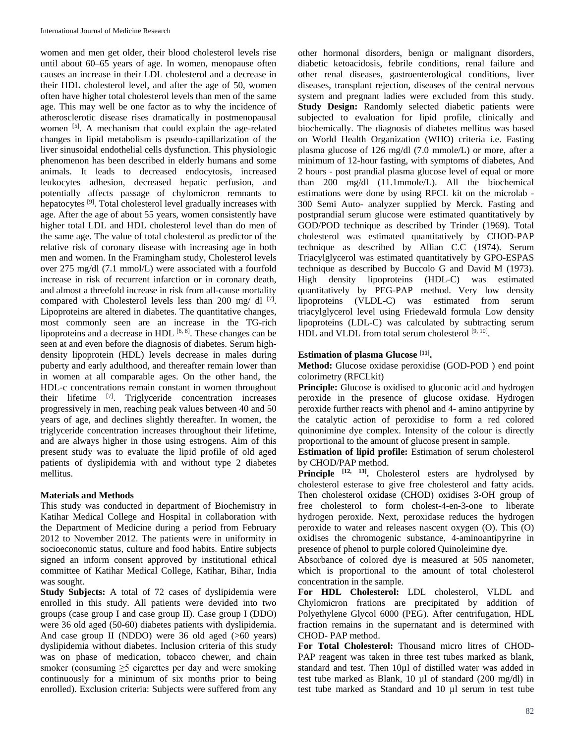women and men get older, their blood cholesterol levels rise until about 60–65 years of age. In women, menopause often causes an increase in their LDL cholesterol and a decrease in their HDL cholesterol level, and after the age of 50, women often have higher total cholesterol levels than men of the same age. This may well be one factor as to why the incidence of atherosclerotic disease rises dramatically in postmenopausal women <sup>[5]</sup>. A mechanism that could explain the age-related changes in lipid metabolism is pseudo-capillarization of the liver sinusoidal endothelial cells dysfunction. This physiologic phenomenon has been described in elderly humans and some animals. It leads to decreased endocytosis, increased leukocytes adhesion, decreased hepatic perfusion, and potentially affects passage of chylomicron remnants to hepatocytes [9]. Total cholesterol level gradually increases with age. After the age of about 55 years, women consistently have higher total LDL and HDL cholesterol level than do men of the same age. The value of total cholesterol as predictor of the relative risk of coronary disease with increasing age in both men and women. In the Framingham study, Cholesterol levels over 275 mg/dl (7.1 mmol/L) were associated with a fourfold increase in risk of recurrent infarction or in coronary death, and almost a threefold increase in risk from all-cause mortality compared with Cholesterol levels less than 200 mg/ dl [7]. Lipoproteins are altered in diabetes. The quantitative changes, most commonly seen are an increase in the TG-rich lipoproteins and a decrease in HDL  $[6, 8]$ . These changes can be seen at and even before the diagnosis of diabetes. Serum highdensity lipoprotein (HDL) levels decrease in males during puberty and early adulthood, and thereafter remain lower than in women at all comparable ages. On the other hand, the HDL-c concentrations remain constant in women throughout their lifetime [7]. Triglyceride concentration increases progressively in men, reaching peak values between 40 and 50 years of age, and declines slightly thereafter. In women, the triglyceride concentration increases throughout their lifetime, and are always higher in those using estrogens. Aim of this present study was to evaluate the lipid profile of old aged patients of dyslipidemia with and without type 2 diabetes mellitus.

# **Materials and Methods**

This study was conducted in department of Biochemistry in Katihar Medical College and Hospital in collaboration with the Department of Medicine during a period from February 2012 to November 2012. The patients were in uniformity in socioeconomic status, culture and food habits. Entire subjects signed an inform consent approved by institutional ethical committee of Katihar Medical College, Katihar, Bihar, India was sought.

**Study Subjects:** A total of 72 cases of dyslipidemia were enrolled in this study. All patients were devided into two groups (case group I and case group II). Case group I (DDO) were 36 old aged (50-60) diabetes patients with dyslipidemia. And case group II (NDDO) were 36 old aged (>60 years) dyslipidemia without diabetes. Inclusion criteria of this study was on phase of medication, tobacco chewer, and chain smoker (consuming  $\geq$ 5 cigarettes per day and were smoking continuously for a minimum of six months prior to being enrolled). Exclusion criteria: Subjects were suffered from any other hormonal disorders, benign or malignant disorders, diabetic ketoacidosis, febrile conditions, renal failure and other renal diseases, gastroenterological conditions, liver diseases, transplant rejection, diseases of the central nervous system and pregnant ladies were excluded from this study. **Study Design:** Randomly selected diabetic patients were subjected to evaluation for lipid profile, clinically and biochemically. The diagnosis of diabetes mellitus was based on World Health Organization (WHO) criteria i.e. Fasting plasma glucose of 126 mg/dl (7.0 mmole/L) or more, after a minimum of 12-hour fasting, with symptoms of diabetes, And 2 hours - post prandial plasma glucose level of equal or more than 200 mg/dl (11.1mmole/L). All the biochemical estimations were done by using RFCL kit on the microlab - 300 Semi Auto- analyzer supplied by Merck. Fasting and postprandial serum glucose were estimated quantitatively by GOD/POD technique as described by Trinder (1969). Total cholesterol was estimated quantitatively by CHOD-PAP technique as described by Allian C.C (1974). Serum Triacylglycerol was estimated quantitatively by GPO-ESPAS technique as described by Buccolo G and David M (1973). High density lipoproteins (HDL-C) was estimated quantitatively by PEG-PAP method. Very low density lipoproteins (VLDL-C) was estimated from serum triacylglycerol level using Friedewald formula. Low density lipoproteins (LDL-C) was calculated by subtracting serum HDL and VLDL from total serum cholesterol  $[9, 10]$ .

# **Estimation of plasma Glucose [11].**

**Method:** Glucose oxidase peroxidise (GOD-POD ) end point colorimetry (RFCLkit)

**Principle:** Glucose is oxidised to gluconic acid and hydrogen peroxide in the presence of glucose oxidase. Hydrogen peroxide further reacts with phenol and 4- amino antipyrine by the catalytic action of peroxidise to form a red colored quinonimine dye complex. Intensity of the colour is directly proportional to the amount of glucose present in sample.

**Estimation of lipid profile:** Estimation of serum cholesterol by CHOD/PAP method.

Principle <sup>[12, 13]</sup>. Cholesterol esters are hydrolysed by cholesterol esterase to give free cholesterol and fatty acids. Then cholesterol oxidase (CHOD) oxidises 3-OH group of free cholesterol to form cholest-4-en-3-one to liberate hydrogen peroxide. Next, peroxidase reduces the hydrogen peroxide to water and releases nascent oxygen (O). This (O) oxidises the chromogenic substance, 4-aminoantipyrine in presence of phenol to purple colored Quinoleimine dye.

Absorbance of colored dye is measured at 505 nanometer, which is proportional to the amount of total cholesterol concentration in the sample.

**For HDL Cholesterol:** LDL cholesterol, VLDL and Chylomicron frations are precipitated by addition of Polyethylene Glycol 6000 (PEG). After centrifugation, HDL fraction remains in the supernatant and is determined with CHOD- PAP method.

**For Total Cholesterol:** Thousand micro litres of CHOD-PAP reagent was taken in three test tubes marked as blank, standard and test. Then 10µl of distilled water was added in test tube marked as Blank, 10 µl of standard (200 mg/dl) in test tube marked as Standard and 10 µl serum in test tube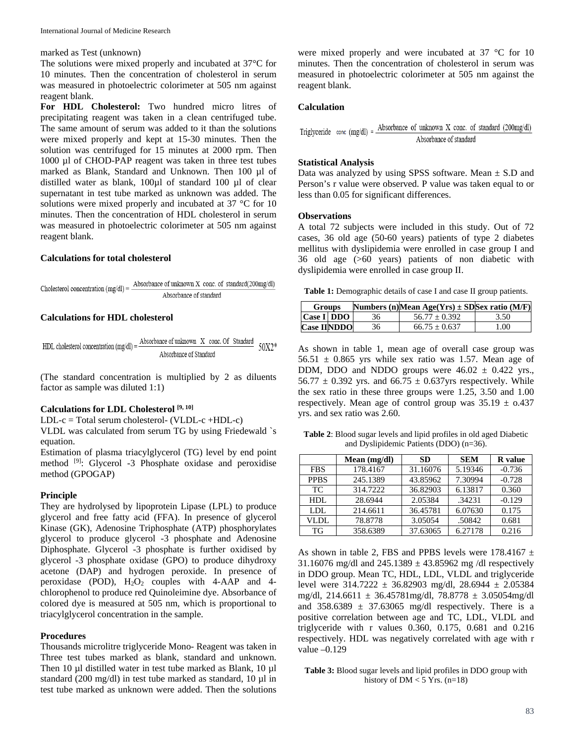# marked as Test (unknown)

The solutions were mixed properly and incubated at 37°C for 10 minutes. Then the concentration of cholesterol in serum was measured in photoelectric colorimeter at 505 nm against reagent blank.

**For HDL Cholesterol:** Two hundred micro litres of precipitating reagent was taken in a clean centrifuged tube. The same amount of serum was added to it than the solutions were mixed properly and kept at 15-30 minutes. Then the solution was centrifuged for 15 minutes at 2000 rpm. Then 1000 µl of CHOD-PAP reagent was taken in three test tubes marked as Blank, Standard and Unknown. Then 100 µl of distilled water as blank, 100µl of standard 100 µl of clear supernatant in test tube marked as unknown was added. The solutions were mixed properly and incubated at 37 °C for 10 minutes. Then the concentration of HDL cholesterol in serum was measured in photoelectric colorimeter at 505 nm against reagent blank.

# **Calculations for total cholesterol**

Cholesterol concentration (mg/dl) = 
$$
\frac{\text{Absorbance of unknown X conc. of standard (200mg/dl))}}{\text{Absorbance of standard}}
$$

### **Calculations for HDL cholesterol**

HDL cholesterol concentration (mg/dl) = 
$$
\frac{\text{Absorbance of unknown X conc. Of Standard}}{\text{Absorbance of Standard}}
$$
 50X2\*

(The standard concentration is multiplied by 2 as diluents factor as sample was diluted 1:1)

### **Calculations for LDL Cholesterol [9, 10]**

LDL-c = Total serum cholesterol- (VLDL-c +HDL-c)

VLDL was calculated from serum TG by using Friedewald `s equation.

Estimation of plasma triacylglycerol (TG) level by end point method [9]: Glycerol -3 Phosphate oxidase and peroxidise method (GPOGAP)

#### **Principle**

They are hydrolysed by lipoprotein Lipase (LPL) to produce glycerol and free fatty acid (FFA). In presence of glycerol Kinase (GK), Adenosine Triphosphate (ATP) phosphorylates glycerol to produce glycerol -3 phosphate and Adenosine Diphosphate. Glycerol -3 phosphate is further oxidised by glycerol -3 phosphate oxidase (GPO) to produce dihydroxy acetone (DAP) and hydrogen peroxide. In presence of peroxidase (POD),  $H_2O_2$  couples with 4-AAP and 4chlorophenol to produce red Quinoleimine dye. Absorbance of colored dye is measured at 505 nm, which is proportional to triacylglycerol concentration in the sample.

#### **Procedures**

Thousands microlitre triglyceride Mono- Reagent was taken in Three test tubes marked as blank, standard and unknown. Then 10 µl distilled water in test tube marked as Blank, 10 µl standard (200 mg/dl) in test tube marked as standard, 10 µl in test tube marked as unknown were added. Then the solutions

were mixed properly and were incubated at 37 °C for 10 minutes. Then the concentration of cholesterol in serum was measured in photoelectric colorimeter at 505 nm against the reagent blank.

### **Calculation**

Triglyceride conc (mg/dl) =  $\frac{\text{Absorbance of unknown X cone. of standard (200mg/dl))}}{\text{At a total of } (200 \text{ kg})}$ Absorbance of standard

### **Statistical Analysis**

Data was analyzed by using SPSS software. Mean  $\pm$  S.D and Person's r value were observed. P value was taken equal to or less than 0.05 for significant differences.

# **Observations**

A total 72 subjects were included in this study. Out of 72 cases, 36 old age (50-60 years) patients of type 2 diabetes mellitus with dyslipidemia were enrolled in case group I and 36 old age (>60 years) patients of non diabetic with dyslipidemia were enrolled in case group II.

**Table 1:** Demographic details of case I and case II group patients.

| <b>Groups</b>      |  |    | Numbers (n) Mean Age(Yrs) $\pm$ SD Sex ratio (M/F) |      |
|--------------------|--|----|----------------------------------------------------|------|
| Case I DDO         |  | 36 | $56.77 + 0.392$                                    | 3.50 |
| <b>Case IINDDO</b> |  | 36 | $66.75 + 0.637$                                    | 1.00 |

As shown in table 1, mean age of overall case group was  $56.51 \pm 0.865$  yrs while sex ratio was 1.57. Mean age of DDM, DDO and NDDO groups were  $46.02 \pm 0.422$  yrs., 56.77  $\pm$  0.392 yrs. and 66.75  $\pm$  0.637yrs respectively. While the sex ratio in these three groups were 1.25, 3.50 and 1.00 respectively. Mean age of control group was  $35.19 \pm 0.437$ yrs. and sex ratio was 2.60.

**Table 2**: Blood sugar levels and lipid profiles in old aged Diabetic and Dyslipidemic Patients (DDO) (n=36).

|             | Mean $(mg/dl)$ | <b>SD</b> | <b>SEM</b> | <b>R</b> value |
|-------------|----------------|-----------|------------|----------------|
| <b>FBS</b>  | 178.4167       | 31.16076  | 5.19346    | $-0.736$       |
| <b>PPBS</b> | 245.1389       | 43.85962  | 7.30994    | $-0.728$       |
| <b>TC</b>   | 314.7222       | 36.82903  | 6.13817    | 0.360          |
| HDL         | 28.6944        | 2.05384   | .34231     | $-0.129$       |
| LDL         | 214.6611       | 36.45781  | 6.07630    | 0.175          |
| VLDL        | 78.8778        | 3.05054   | .50842     | 0.681          |
| TG          | 358.6389       | 37.63065  | 6.27178    | 0.216          |

As shown in table 2, FBS and PPBS levels were 178.4167  $\pm$ 31.16076 mg/dl and  $245.1389 \pm 43.85962$  mg /dl respectively in DDO group. Mean TC, HDL, LDL, VLDL and triglyceride level were  $314.7222 \pm 36.82903$  mg/dl,  $28.6944 \pm 2.05384$ mg/dl, 214.6611 ± 36.45781mg/dl, 78.8778 ± 3.05054mg/dl and  $358.6389 \pm 37.63065$  mg/dl respectively. There is a positive correlation between age and TC, LDL, VLDL and triglyceride with r values 0.360, 0.175, 0.681 and 0.216 respectively. HDL was negatively correlated with age with r value –0.129

### **Table 3:** Blood sugar levels and lipid profiles in DDO group with history of  $DM < 5$  Yrs. (n=18)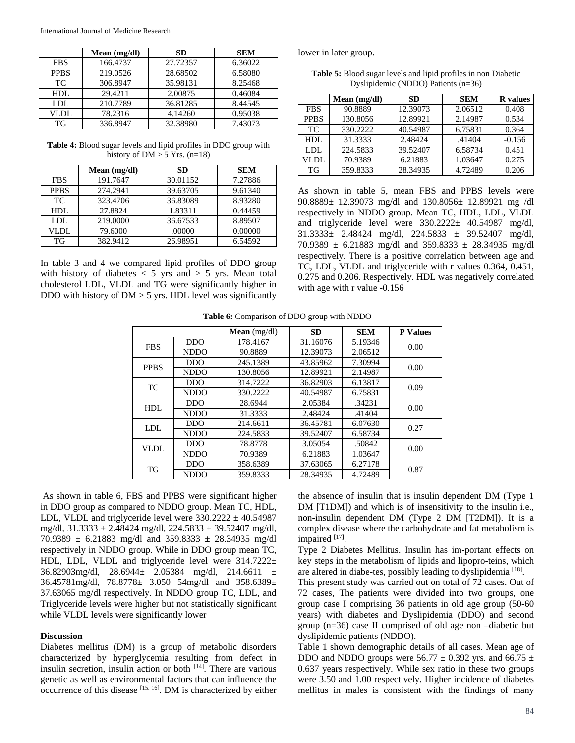|             | Mean $(mg/dl)$ | <b>SD</b> | <b>SEM</b> |
|-------------|----------------|-----------|------------|
| <b>FBS</b>  | 166.4737       | 27.72357  | 6.36022    |
| <b>PPBS</b> | 219.0526       | 28.68502  | 6.58080    |
| TC          | 306.8947       | 35.98131  | 8.25468    |
| HDL         | 29.4211        | 2.00875   | 0.46084    |
| LDL         | 210.7789       | 36.81285  | 8.44545    |
| VLDL        | 78.2316        | 4.14260   | 0.95038    |
| TG          | 336.8947       | 32.38980  | 7.43073    |

**Table 4:** Blood sugar levels and lipid profiles in DDO group with history of  $DM > 5$  Yrs. (n=18)

|             | Mean $(mg/dl)$ | <b>SD</b> | <b>SEM</b> |
|-------------|----------------|-----------|------------|
| <b>FBS</b>  | 191.7647       | 30.01152  | 7.27886    |
| <b>PPBS</b> | 274.2941       | 39.63705  | 9.61340    |
| TC          | 323.4706       | 36.83089  | 8.93280    |
| HDL         | 27.8824        | 1.83311   | 0.44459    |
| LDL         | 219,0000       | 36.67533  | 8.89507    |
| VLDL        | 79.6000        | .00000    | 0.00000    |
| TG          | 382.9412       | 26.98951  | 6.54592    |

In table 3 and 4 we compared lipid profiles of DDO group with history of diabetes  $<$  5 yrs and  $>$  5 yrs. Mean total cholesterol LDL, VLDL and TG were significantly higher in DDO with history of  $DM > 5$  yrs. HDL level was significantly lower in later group.

**Table 5:** Blood sugar levels and lipid profiles in non Diabetic Dyslipidemic (NDDO) Patients (n=36)

|             | Mean (mg/dl) | SD       | <b>SEM</b> | <b>R</b> values |
|-------------|--------------|----------|------------|-----------------|
| <b>FBS</b>  | 90.8889      | 12.39073 | 2.06512    | 0.408           |
| <b>PPBS</b> | 130.8056     | 12.89921 | 2.14987    | 0.534           |
| TC          | 330.2222     | 40.54987 | 6.75831    | 0.364           |
| HDL         | 31.3333      | 2.48424  | .41404     | $-0.156$        |
| LDL         | 224.5833     | 39.52407 | 6.58734    | 0.451           |
| VLDL        | 70.9389      | 6.21883  | 1.03647    | 0.275           |
| TG          | 359.8333     | 28.34935 | 4.72489    | 0.206           |

As shown in table 5, mean FBS and PPBS levels were 90.8889± 12.39073 mg/dl and 130.8056± 12.89921 mg /dl respectively in NDDO group. Mean TC, HDL, LDL, VLDL and triglyceride level were 330.2222± 40.54987 mg/dl, 31.3333± 2.48424 mg/dl, 224.5833 ± 39.52407 mg/dl, 70.9389  $\pm$  6.21883 mg/dl and 359.8333  $\pm$  28.34935 mg/dl respectively. There is a positive correlation between age and TC, LDL, VLDL and triglyceride with r values 0.364, 0.451, 0.275 and 0.206. Respectively. HDL was negatively correlated with age with r value -0.156

|  | Table 6: Comparison of DDO group with NDDO |  |  |  |  |
|--|--------------------------------------------|--|--|--|--|
|--|--------------------------------------------|--|--|--|--|

|             |             | <b>Mean</b> (mg/dl) | <b>SD</b> | <b>SEM</b> | <b>P</b> Values |
|-------------|-------------|---------------------|-----------|------------|-----------------|
| <b>FBS</b>  | <b>DDO</b>  | 178.4167            | 31.16076  | 5.19346    | 0.00            |
|             | <b>NDDO</b> | 90.8889             | 12.39073  | 2.06512    |                 |
| <b>PPBS</b> | <b>DDO</b>  | 245.1389            | 43.85962  | 7.30994    | 0.00            |
|             | <b>NDDO</b> | 130.8056            | 12.89921  | 2.14987    |                 |
| TC.         | <b>DDO</b>  | 314.7222            | 36.82903  | 6.13817    | 0.09            |
|             | <b>NDDO</b> | 330.2222            | 40.54987  | 6.75831    |                 |
| HDL.        | <b>DDO</b>  | 28.6944             | 2.05384   | .34231     | 0.00            |
|             | <b>NDDO</b> | 31.3333             | 2.48424   | .41404     |                 |
| LDL         | <b>DDO</b>  | 214.6611            | 36.45781  | 6.07630    | 0.27            |
|             | <b>NDDO</b> | 224.5833            | 39.52407  | 6.58734    |                 |
| VLDL        | <b>DDO</b>  | 78.8778             | 3.05054   | .50842     | 0.00            |
|             | <b>NDDO</b> | 70.9389             | 6.21883   | 1.03647    |                 |
| TG          | <b>DDO</b>  | 358.6389            | 37.63065  | 6.27178    | 0.87            |
|             | <b>NDDO</b> | 359.8333            | 28.34935  | 4.72489    |                 |

As shown in table 6, FBS and PPBS were significant higher in DDO group as compared to NDDO group. Mean TC, HDL, LDL, VLDL and triglyceride level were  $330.2222 \pm 40.54987$ mg/dl,  $31.3333 \pm 2.48424$  mg/dl,  $224.5833 \pm 39.52407$  mg/dl,  $70.9389 \pm 6.21883$  mg/dl and 359.8333  $\pm$  28.34935 mg/dl respectively in NDDO group. While in DDO group mean TC, HDL, LDL, VLDL and triglyceride level were 314.7222± 36.82903mg/dl, 28.6944 $\pm$  2.05384 mg/dl, 214.6611  $\pm$ 36.45781mg/dl, 78.8778± 3.050 54mg/dl and 358.6389± 37.63065 mg/dl respectively. In NDDO group TC, LDL, and Triglyceride levels were higher but not statistically significant while VLDL levels were significantly lower

#### **Discussion**

Diabetes mellitus (DM) is a group of metabolic disorders characterized by hyperglycemia resulting from defect in insulin secretion, insulin action or both [14]. There are various genetic as well as environmental factors that can influence the occurrence of this disease [15, 16]. DM is characterized by either

the absence of insulin that is insulin dependent DM (Type 1 DM [T1DM]) and which is of insensitivity to the insulin i.e., non-insulin dependent DM (Type 2 DM [T2DM]). It is a complex disease where the carbohydrate and fat metabolism is impaired [17].

Type 2 Diabetes Mellitus. Insulin has im-portant effects on key steps in the metabolism of lipids and lipopro-teins, which are altered in diabe-tes, possibly leading to dyslipidemia [18].

This present study was carried out on total of 72 cases. Out of 72 cases, The patients were divided into two groups, one group case I comprising 36 patients in old age group (50-60 years) with diabetes and Dyslipidemia (DDO) and second group (n=36) case II comprised of old age non –diabetic but dyslipidemic patients (NDDO).

Table 1 shown demographic details of all cases. Mean age of DDO and NDDO groups were  $56.77 \pm 0.392$  yrs. and  $66.75 \pm 1.0$ 0.637 years respectively. While sex ratio in these two groups were 3.50 and 1.00 respectively. Higher incidence of diabetes mellitus in males is consistent with the findings of many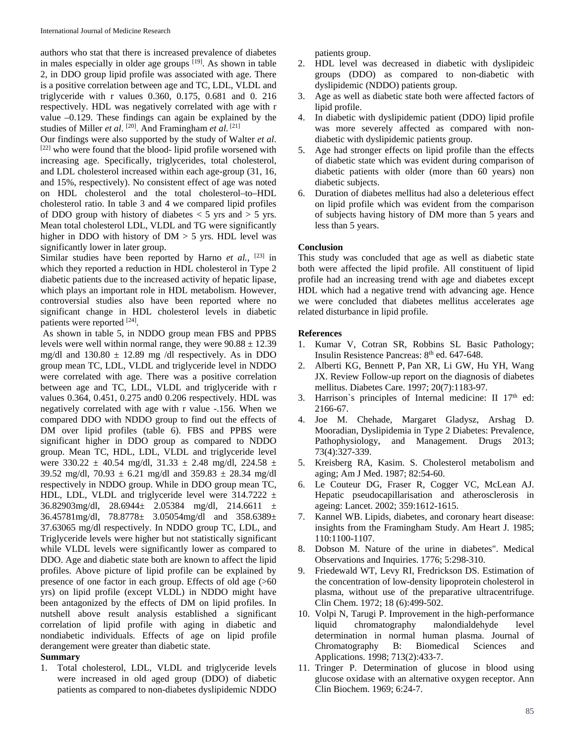authors who stat that there is increased prevalence of diabetes in males especially in older age groups  $[19]$ . As shown in table 2, in DDO group lipid profile was associated with age. There is a positive correlation between age and TC, LDL, VLDL and triglyceride with r values 0.360, 0.175, 0.681 and 0. 216 respectively. HDL was negatively correlated with age with r value –0.129. These findings can again be explained by the studies of Miller *et al*. [20]. And Framingham *et al.* [21]

Our findings were also supported by the study of Walter *et al*. [22] who were found that the blood- lipid profile worsened with increasing age. Specifically, triglycerides, total cholesterol, and LDL cholesterol increased within each age-group (31, 16, and 15%, respectively). No consistent effect of age was noted on HDL cholesterol and the total cholesterol–to–HDL cholesterol ratio. In table 3 and 4 we compared lipid profiles of DDO group with history of diabetes  $<$  5 yrs and  $>$  5 yrs. Mean total cholesterol LDL, VLDL and TG were significantly higher in DDO with history of  $DM > 5$  yrs. HDL level was significantly lower in later group.

Similar studies have been reported by Harno *et al.*, <sup>[23]</sup> in which they reported a reduction in HDL cholesterol in Type 2 diabetic patients due to the increased activity of hepatic lipase, which plays an important role in HDL metabolism. However, controversial studies also have been reported where no significant change in HDL cholesterol levels in diabetic patients were reported [24].

As shown in table 5, in NDDO group mean FBS and PPBS levels were well within normal range, they were  $90.88 \pm 12.39$ mg/dl and  $130.80 \pm 12.89$  mg /dl respectively. As in DDO group mean TC, LDL, VLDL and triglyceride level in NDDO were correlated with age. There was a positive correlation between age and TC, LDL, VLDL and triglyceride with r values 0.364, 0.451, 0.275 and0 0.206 respectively. HDL was negatively correlated with age with r value -.156. When we compared DDO with NDDO group to find out the effects of DM over lipid profiles (table 6). FBS and PPBS were significant higher in DDO group as compared to NDDO group. Mean TC, HDL, LDL, VLDL and triglyceride level were 330.22  $\pm$  40.54 mg/dl, 31.33  $\pm$  2.48 mg/dl, 224.58  $\pm$ 39.52 mg/dl, 70.93  $\pm$  6.21 mg/dl and 359.83  $\pm$  28.34 mg/dl respectively in NDDO group. While in DDO group mean TC, HDL, LDL, VLDL and triglyceride level were  $314.7222 \pm$ 36.82903mg/dl, 28.6944± 2.05384 mg/dl, 214.6611 ± 36.45781mg/dl, 78.8778± 3.05054mg/dl and 358.6389± 37.63065 mg/dl respectively. In NDDO group TC, LDL, and Triglyceride levels were higher but not statistically significant while VLDL levels were significantly lower as compared to DDO. Age and diabetic state both are known to affect the lipid profiles. Above picture of lipid profile can be explained by presence of one factor in each group. Effects of old age (>60 yrs) on lipid profile (except VLDL) in NDDO might have been antagonized by the effects of DM on lipid profiles. In nutshell above result analysis established a significant correlation of lipid profile with aging in diabetic and nondiabetic individuals. Effects of age on lipid profile derangement were greater than diabetic state.

# **Summary**

1. Total cholesterol, LDL, VLDL and triglyceride levels were increased in old aged group (DDO) of diabetic patients as compared to non-diabetes dyslipidemic NDDO patients group.

- 2. HDL level was decreased in diabetic with dyslipideic groups (DDO) as compared to non-diabetic with dyslipidemic (NDDO) patients group.
- 3. Age as well as diabetic state both were affected factors of lipid profile.
- 4. In diabetic with dyslipidemic patient (DDO) lipid profile was more severely affected as compared with nondiabetic with dyslipidemic patients group.
- 5. Age had stronger effects on lipid profile than the effects of diabetic state which was evident during comparison of diabetic patients with older (more than 60 years) non diabetic subjects.
- 6. Duration of diabetes mellitus had also a deleterious effect on lipid profile which was evident from the comparison of subjects having history of DM more than 5 years and less than 5 years.

# **Conclusion**

This study was concluded that age as well as diabetic state both were affected the lipid profile. All constituent of lipid profile had an increasing trend with age and diabetes except HDL which had a negative trend with advancing age. Hence we were concluded that diabetes mellitus accelerates age related disturbance in lipid profile.

# **References**

- 1. Kumar V, Cotran SR, Robbins SL Basic Pathology; Insulin Resistence Pancreas: 8<sup>th</sup> ed. 647-648.
- 2. Alberti KG, Bennett P, Pan XR, Li GW, Hu YH, Wang JX. Review Follow-up report on the diagnosis of diabetes mellitus. Diabetes Care. 1997; 20(7):1183-97.
- 3. Harrison's principles of Internal medicine: II 17<sup>th</sup> ed: 2166-67.
- 4. Joe M. Chehade, Margaret Gladysz, Arshag D. Mooradian, Dyslipidemia in Type 2 Diabetes: Prevalence, Pathophysiology, and Management. Drugs 2013; 73(4):327-339.
- 5. Kreisberg RA, Kasim. S. Cholesterol metabolism and aging; Am J Med. 1987; 82:54-60.
- 6. Le Couteur DG, Fraser R, Cogger VC, McLean AJ. Hepatic pseudocapillarisation and atherosclerosis in ageing: Lancet. 2002; 359:1612-1615.
- 7. Kannel WB. Lipids, diabetes, and coronary heart disease: insights from the Framingham Study. Am Heart J. 1985; 110:1100-1107.
- 8. Dobson M. Nature of the urine in diabetes". Medical Observations and Inquiries. 1776; 5:298-310.
- 9. Friedewald WT, Levy RI, Fredrickson DS. Estimation of the concentration of low-density lipoprotein cholesterol in plasma, without use of the preparative ultracentrifuge. Clin Chem. 1972; 18 (6):499-502.
- 10. Volpi N, Tarugi P. Improvement in the high-performance liquid chromatography malondialdehyde level determination in normal human plasma. Journal of Chromatography B: Biomedical Sciences and Applications. 1998; 713(2):433-7.
- 11. Tringer P. Determination of glucose in blood using glucose oxidase with an alternative oxygen receptor. Ann Clin Biochem. 1969; 6:24-7.